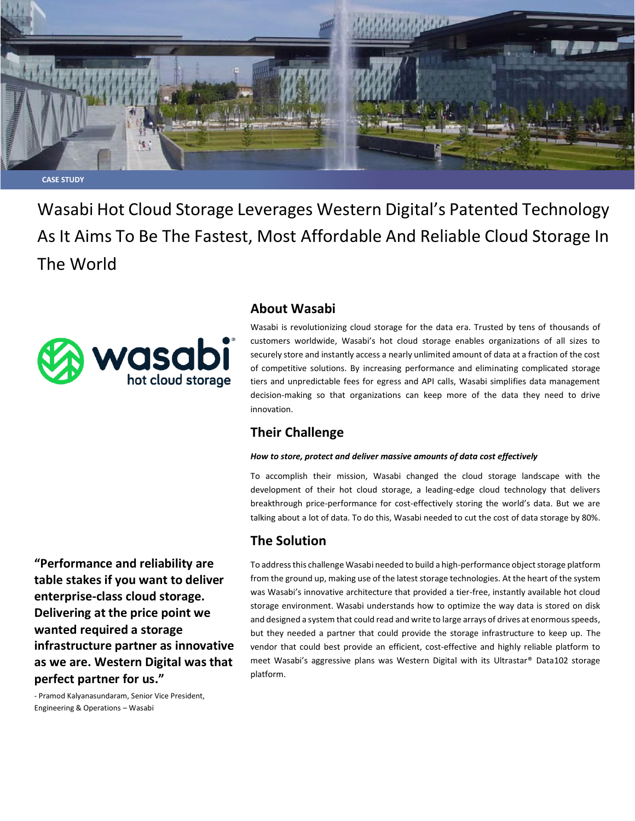

**CASE STUDY**

Wasabi Hot Cloud Storage Leverages Western Digital's Patented Technology As It Aims To Be The Fastest, Most Affordable And Reliable Cloud Storage In The World



# **About Wasabi**

Wasabi is revolutionizing cloud storage for the data era. Trusted by tens of thousands of customers worldwide, Wasabi's hot cloud storage enables organizations of all sizes to securely store and instantly access a nearly unlimited amount of data at a fraction of the cost of competitive solutions. By increasing performance and eliminating complicated storage tiers and unpredictable fees for egress and API calls, Wasabi simplifies data management decision-making so that organizations can keep more of the data they need to drive innovation.

# **Their Challenge**

#### *How to store, protect and deliver massive amounts of data cost effectively*

To accomplish their mission, Wasabi changed the cloud storage landscape with the development of their hot cloud storage, a leading-edge cloud technology that delivers breakthrough price-performance for cost-effectively storing the world's data. But we are talking about a lot of data. To do this, Wasabi needed to cut the cost of data storage by 80%.

# **The Solution**

To address this challenge Wasabi needed to build a high-performance object storage platform from the ground up, making use of the latest storage technologies. At the heart of the system was Wasabi's innovative architecture that provided a tier-free, instantly available hot cloud storage environment. Wasabi understands how to optimize the way data is stored on disk and designed a system that could read and write to large arrays of drives at enormous speeds, but they needed a partner that could provide the storage infrastructure to keep up. The vendor that could best provide an efficient, cost-effective and highly reliable platform to meet Wasabi's aggressive plans was Western Digital with its Ultrastar® Data102 storage platform.

**"Performance and reliability are table stakes if you want to deliver enterprise-class cloud storage. Delivering at the price point we wanted required a storage infrastructure partner as innovative as we are. Western Digital was that perfect partner for us."** 

- Pramod Kalyanasundaram, Senior Vice President, Engineering & Operations – Wasabi